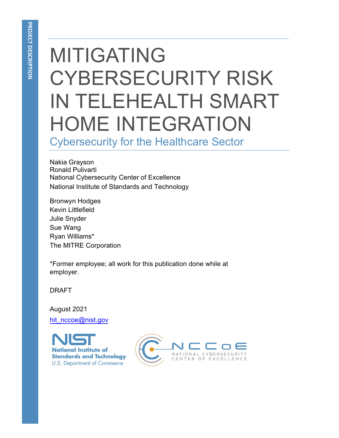# MITIGATING CYBERSECURITY RISK IN TELEHEALTH SMART HOME INTEGRATION

Cybersecurity for the Healthcare Sector

Nakia Grayson Ronald Pulivarti National Cybersecurity Center of Excellence National Institute of Standards and Technology

Bronwyn Hodges Kevin Littlefield Julie Snyder Sue Wang Ryan Williams\* The MITRE Corporation

\*Former employee; all work for this publication done while at employer.

DRAFT

August 2021 [hit\\_nccoe@nist.gov](mailto:hit_nccoe@nist.gov)

**National Institute of Standards and Technology U.S. Department of Commerce** 

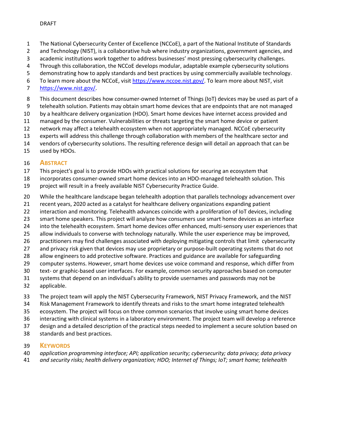- 1 The National Cybersecurity Center of Excellence (NCCoE), a part of the National Institute of Standards
- 2 and Technology (NIST), is a collaborative hub where industry organizations, government agencies, and
- 3 academic institutions work together to address businesses' most pressing cybersecurity challenges.
- 4 Through this collaboration, the NCCoE develops modular, adaptable example cybersecurity solutions
- 5 demonstrating how to apply standards and best practices by using commercially available technology.
- 6 To learn more about the NCCoE, visit [https://www.nccoe.nist.gov/.](https://www.nccoe.nist.gov/) To learn more about NIST, visit
- [https://www.nist.gov/.](https://www.nist.gov/)
- 8 This document describes how consumer-owned Internet of Things (IoT) devices may be used as part of a
- 9 telehealth solution. Patients may obtain smart home devices that are endpoints that are not managed
- by a healthcare delivery organization (HDO). Smart home devices have internet access provided and
- managed by the consumer. Vulnerabilities or threats targeting the smart home device or patient
- network may affect a telehealth ecosystem when not appropriately managed. NCCoE cybersecurity
- experts will address this challenge through collaboration with members of the healthcare sector and
- vendors of cybersecurity solutions. The resulting reference design will detail an approach that can be
- used by HDOs.

# **ABSTRACT**

- This project's goal is to provide HDOs with practical solutions for securing an ecosystem that
- incorporates consumer-owned smart home devices into an HDO-managed telehealth solution. This
- project will result in a freely available NIST Cybersecurity Practice Guide.
- While the healthcare landscape began telehealth adoption that parallels technology advancement over
- recent years, 2020 acted as a catalyst for healthcare delivery organizations expanding patient
- interaction and monitoring. Telehealth advances coincide with a proliferation of IoT devices, including
- smart home speakers. This project will analyze how consumers use smart home devices as an interface
- into the telehealth ecosystem. Smart home devices offer enhanced, multi-sensory user experiences that
- allow individuals to converse with technology naturally. While the user experience may be improved,
- practitioners may find challenges associated with deploying mitigating controls that limit cybersecurity
- and privacy risk given that devices may use proprietary or purpose-built operating systems that do not
- allow engineers to add protective software. Practices and guidance are available for safeguarding
- computer systems. However, smart home devices use voice command and response, which differ from
- text- or graphic-based user interfaces. For example, common security approaches based on computer
- systems that depend on an individual's ability to provide usernames and passwords may not be applicable.
- The project team will apply the NIST Cybersecurity Framework, NIST Privacy Framework, and the NIST
- Risk Management Framework to identify threats and risks to the smart home integrated telehealth
- ecosystem. The project will focus on three common scenarios that involve using smart home devices
- interacting with clinical systems in a laboratory environment. The project team will develop a reference
- design and a detailed description of the practical steps needed to implement a secure solution based on
- standards and best practices.

# **KEYWORDS**

- *application programming interface; API; application security; cybersecurity; data privacy; data privacy*
- *and security risks; health delivery organization; HDO; Internet of Things; IoT; smart home; telehealth*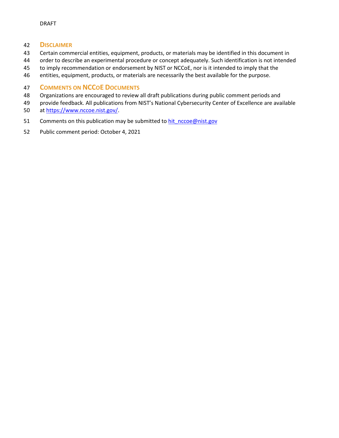#### **DISCLAIMER**

- Certain commercial entities, equipment, products, or materials may be identified in this document in
- order to describe an experimental procedure or concept adequately. Such identification is not intended
- to imply recommendation or endorsement by NIST or NCCoE, nor is it intended to imply that the
- entities, equipment, products, or materials are necessarily the best available for the purpose.

# **COMMENTS ON NCCOE DOCUMENTS**

- Organizations are encouraged to review all draft publications during public comment periods and
- provide feedback. All publications from NIST's National Cybersecurity Center of Excellence are available at [https://www.nccoe.nist.gov/.](https://www.nccoe.nist.gov/)
- 51 Comments on this publication may be submitted to hit nccoe@nist.gov
- Public comment period: October 4, 2021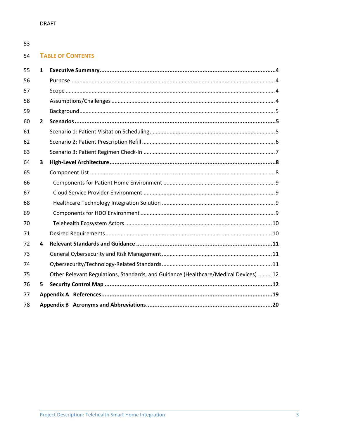# 53

#### 54 **TABLE OF CONTENTS**

| 55 | $\mathbf{1}$   |                                                                                      |
|----|----------------|--------------------------------------------------------------------------------------|
| 56 |                |                                                                                      |
| 57 |                |                                                                                      |
| 58 |                |                                                                                      |
| 59 |                |                                                                                      |
| 60 | $\overline{2}$ |                                                                                      |
| 61 |                |                                                                                      |
| 62 |                |                                                                                      |
| 63 |                |                                                                                      |
| 64 | 3              |                                                                                      |
| 65 |                |                                                                                      |
| 66 |                |                                                                                      |
| 67 |                |                                                                                      |
| 68 |                |                                                                                      |
| 69 |                |                                                                                      |
| 70 |                |                                                                                      |
| 71 |                |                                                                                      |
| 72 | 4              |                                                                                      |
| 73 |                |                                                                                      |
| 74 |                |                                                                                      |
| 75 |                | Other Relevant Regulations, Standards, and Guidance (Healthcare/Medical Devices)  12 |
| 76 | 5.             |                                                                                      |
| 77 |                |                                                                                      |
| 78 |                |                                                                                      |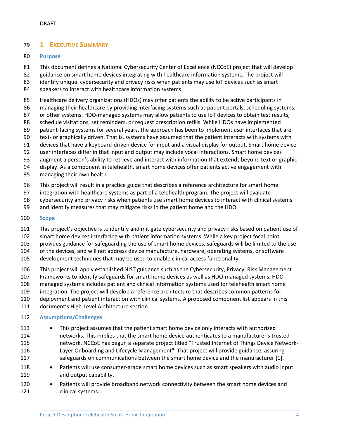# <span id="page-4-0"></span>**1 EXECUTIVE SUMMARY**

#### <span id="page-4-1"></span>**Purpose**

- This document defines a National Cybersecurity Center of Excellence (NCCoE) project that will develop
- guidance on smart home devices integrating with healthcare information systems. The project will
- 83 identify unique cybersecurity and privacy risks when patients may use IoT devices such as smart
- speakers to interact with healthcare information systems.
- Healthcare delivery organizations (HDOs) may offer patients the ability to be active participants in
- managing their healthcare by providing interfacing systems such as patient portals, scheduling systems,
- 87 or other systems. HDO-managed systems may allow patients to use IoT devices to obtain test results,
- schedule visitations, set reminders, or request prescription refills. While HDOs have implemented
- patient-facing systems for several years, the approach has been to implement user interfaces that are
- text- or graphically driven. That is, systems have assumed that the patient interacts with systems with devices that have a keyboard-driven device for input and a visual display for output. Smart home device
- user interfaces differ in that input and output may include vocal interactions. Smart home devices
- augment a person's ability to retrieve and interact with information that extends beyond text or graphic
- display. As a component in telehealth, smart home devices offer patients active engagement with
- managing their own health.
- This project will result in a practice guide that describes a reference architecture for smart home
- integration with healthcare systems as part of a telehealth program. The project will evaluate
- cybersecurity and privacy risks when patients use smart home devices to interact with clinical systems
- and identify measures that may mitigate risks in the patient home and the HDO.
- <span id="page-4-2"></span>**Scope**
- This project's objective is to identify and mitigate cybersecurity and privacy risks based on patient use of
- smart home devices interfacing with patient information systems. While a key project focal point
- provides guidance for safeguarding the use of smart home devices, safeguards will be limited to the use
- of the devices, and will not address device manufacture, hardware, operating systems, or software
- development techniques that may be used to enable clinical access functionality.
- This project will apply established NIST guidance such as the Cybersecurity, Privacy, Risk Management
- Frameworks to identify safeguards for smart home devices as well as HDO-managed systems. HDO-
- managed systems includes patient and clinical information systems used for telehealth smart home
- integration. The project will develop a reference architecture that describes common patterns for
- deployment and patient interaction with clinical systems. A proposed component list appears in this
- document's [High-Level Architecture](#page-8-0) section.

#### <span id="page-4-3"></span>**Assumptions/Challenges**

- This project assumes that the patient smart home device only interacts with authorized networks. This implies that the smart home device authenticates to a manufacturer's trusted network. NCCoE has begun a separate project titled "Trusted Internet of Things Device Network- Layer Onboarding and Lifecycle Management". That project will provide guidance, assuring 117 safeguards on communications between the smart home device and the manufacturer [\[1\].](#page-19-1)
- 118 Patients will use consumer-grade smart home devices such as smart speakers with audio input and output capability.
- 120 Patients will provide broadband network connectivity between the smart home devices and 121 clinical systems.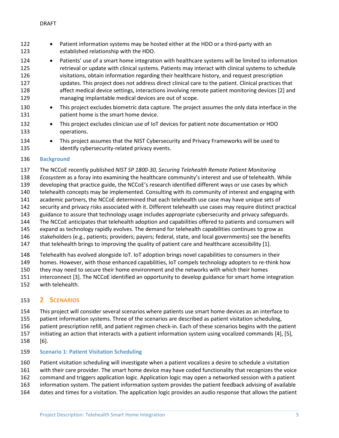- 122 Patient information systems may be hosted either at the HDO or a third-party with an established relationship with the HDO.
- 124 Patients' use of a smart home integration with healthcare systems will be limited to information retrieval or update with clinical systems. Patients may interact with clinical systems to schedule visitations, obtain information regarding their healthcare history, and request prescription updates. This project does not address direct clinical care to the patient. Clinical practices that 128 affect medical device settings, interactions involving remote patient monitoring devices [\[2\]](#page-19-2) and managing implantable medical devices are out of scope.
- This project excludes biometric data capture. The project assumes the only data interface in the patient home is the smart home device.
- 132 This project excludes clinician use of IoT devices for patient note documentation or HDO operations.
- 134 This project assumes that the NIST Cybersecurity and Privacy Frameworks will be used to identify cybersecurity-related privacy events.

#### <span id="page-5-0"></span>**Background**

- The NCCoE recently published *NIST SP 1800-30, Securing Telehealth Remote Patient Monitoring*
- *Ecosystem* as a foray into examining the healthcare community's interest and use of telehealth. While
- developing that practice guide, the NCCoE's research identified different ways or use cases by which
- telehealth concepts may be implemented. Consulting with its community of interest and engaging with
- academic partners, the NCCoE determined that each telehealth use case may have unique sets of
- security and privacy risks associated with it. Different telehealth use cases may require distinct practical
- guidance to assure that technology usage includes appropriate cybersecurity and privacy safeguards.
- The NCCoE anticipates that telehealth adoption and capabilities offered to patients and consumers will
- expand as technology rapidly evolves. The demand for telehealth capabilities continues to grow as
- stakeholders (e.g., patients; providers; payers; federal, state, and local governments) see the benefits
- that telehealth brings to improving the quality of patient care and healthcare accessibility [\[1\].](#page-19-1)
- Telehealth has evolved alongside IoT. IoT adoption brings novel capabilities to consumers in their
- homes. However, with those enhanced capabilities, IoT compels technology adopters to re-think how
- they may need to secure their home environment and the networks with which their homes
- interconnect [\[3\].](#page-19-3) The NCCoE identified an opportunity to develop guidance for smart home integration
- with telehealth.

# <span id="page-5-1"></span>**2 SCENARIOS**

- This project will consider several scenarios where patients use smart home devices as an interface to
- patient information systems. Three of the scenarios are described as patient visitation scheduling,
- patient prescription refill, and patient regimen check-in. Each of these scenarios begins with the patient
- initiating an action that interacts with a patient information system using vocalized commands [\[4\],](#page-19-4) [\[5\],](#page-19-5)
- [\[6\].](#page-19-6)

# <span id="page-5-2"></span>**Scenario 1: Patient Visitation Scheduling**

- Patient visitation scheduling will investigate when a patient vocalizes a desire to schedule a visitation
- with their care provider. The smart home device may have coded functionality that recognizes the voice
- command and triggers application logic. Application logic may open a networked session with a patient
- information system. The patient information system provides the patient feedback advising of available
- dates and times for a visitation. The application logic provides an audio response that allows the patient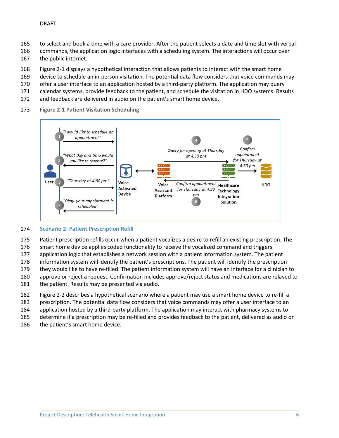- to select and book a time with a care provider. After the patient selects a date and time slot with verbal
- commands, the application logic interfaces with a scheduling system. The interactions will occur over
- the public internet.
- [Figure 2-1](#page-6-1) displays a hypothetical interaction that allows patients to interact with the smart home
- device to schedule an in-person visitation. The potential data flow considers that voice commands may
- 170 offer a user interface to an application hosted by a third-party platform. The application may query
- calendar systems, provide feedback to the patient, and schedule the visitation in HDO systems. Results
- and feedback are delivered in audio on the patient's smart home device.
- **Figure 2-1 Patient Visitation Scheduling**

<span id="page-6-1"></span>

#### <span id="page-6-0"></span>**Scenario 2: Patient Prescription Refill**

- Patient prescription refills occur when a patient vocalizes a desire to refill an existing prescription. The
- smart home device applies coded functionality to receive the vocalized command and triggers
- application logic that establishes a network session with a patient information system. The patient
- information system will identify the patient's prescriptions. The patient will identify the prescription
- they would like to have re-filled. The patient information system will have an interface for a clinician to
- approve or reject a request. Confirmation includes approve/reject status and medications are relayed to
- the patient. Results may be presented via audio.
- [Figure 2-2](#page-7-1) describes a hypothetical scenario where a patient may use a smart home device to re-fill a
- prescription. The potential data flow considers that voice commands may offer a user interface to an
- application hosted by a third-party platform. The application may interact with pharmacy systems to
- determine if a prescription may be re-filled and provides feedback to the patient, delivered as audio on
- 186 the patient's smart home device.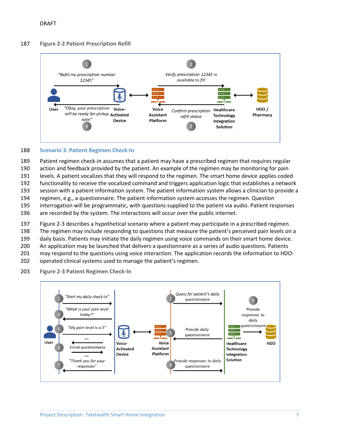#### **Figure 2-2 Patient Prescription Refill**

<span id="page-7-1"></span>

#### <span id="page-7-0"></span>**Scenario 3: Patient Regimen Check-In**

 Patient regimen check-in assumes that a patient may have a prescribed regimen that requires regular action and feedback provided by the patient. An example of the regimen may be monitoring for pain levels. A patient vocalizes that they will respond to the regimen. The smart home device applies coded functionality to receive the vocalized command and triggers application logic that establishes a network session with a patient information system. The patient information system allows a clinician to provide a regimen, e.g., a questionnaire. The patient information system accesses the regimen. Question interrogation will be programmatic, with questions supplied to the patient via audio. Patient responses are recorded by the system. The interactions will occur over the public internet.

[Figure 2-3](#page-7-2) describes a hypothetical scenario where a patient may participate in a prescribed regimen.

- The regimen may include responding to questions that measure the patient's perceived pain levels on a
- daily basis. Patients may initiate the daily regimen using voice commands on their smart home device.
- An application may be launched that delivers a questionnaire as a series of audio questions. Patients
- may respond to the questions using voice interaction. The application records the information to HDO-
- operated clinical systems used to manage the patient's regimen.
- **Figure 2-3 Patient Regimen Check-In**

<span id="page-7-2"></span>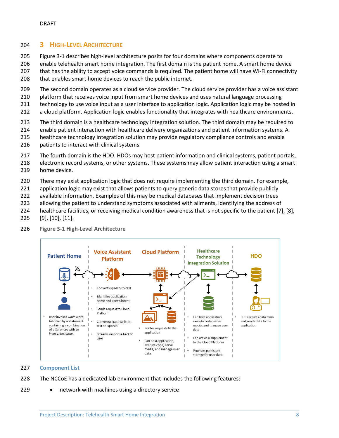### <span id="page-8-0"></span>**3 HIGH-LEVEL ARCHITECTURE**

 [Figure 3-1](#page-8-2) describes high-level architecture posits for four domains where components operate to enable telehealth smart home integration. The first domain is the patient home. A smart home device

 that has the ability to accept voice commands is required. The patient home will have Wi-Fi connectivity 208 that enables smart home devices to reach the public internet.

- The second domain operates as a cloud service provider. The cloud service provider has a voice assistant
- platform that receives voice input from smart home devices and uses natural language processing
- 211 technology to use voice input as a user interface to application logic. Application logic may be hosted in
- a cloud platform. Application logic enables functionality that integrates with healthcare environments.
- The third domain is a healthcare technology integration solution. The third domain may be required to
- enable patient interaction with healthcare delivery organizations and patient information systems. A
- healthcare technology integration solution may provide regulatory compliance controls and enable
- patients to interact with clinical systems.
- 217 The fourth domain is the HDO. HDOs may host patient information and clinical systems, patient portals,
- electronic record systems, or other systems. These systems may allow patient interaction using a smart home device.
- There may exist application logic that does not require implementing the third domain. For example,
- application logic may exist that allows patients to query generic data stores that provide publicly
- available information. Examples of this may be medical databases that implement decision trees
- allowing the patient to understand symptoms associated with ailments, identifying the address of
- healthcare facilities, or receiving medical condition awareness that is not specific to the patient [\[7\],](#page-19-7) [\[8\],](#page-19-8)
- [\[9\],](#page-19-9) [\[10\],](#page-19-10) [\[11\].](#page-19-11)

<span id="page-8-2"></span>

**Figure 3-1 High-Level Architecture**

#### <span id="page-8-1"></span>**Component List**

- The NCCoE has a dedicated lab environment that includes the following features:
- 229 network with machines using a directory service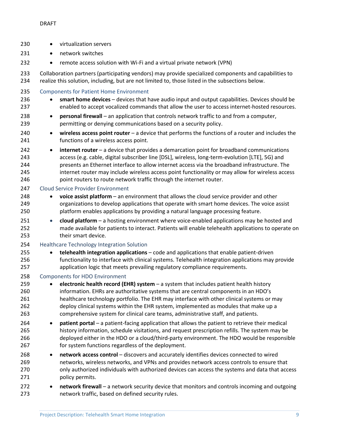<span id="page-9-3"></span><span id="page-9-2"></span><span id="page-9-1"></span><span id="page-9-0"></span>

| 230                             | virtualization servers<br>$\bullet$                                                                                                                                                                                                                                                                                                                                                                                                                                                   |
|---------------------------------|---------------------------------------------------------------------------------------------------------------------------------------------------------------------------------------------------------------------------------------------------------------------------------------------------------------------------------------------------------------------------------------------------------------------------------------------------------------------------------------|
| 231                             | network switches<br>$\bullet$                                                                                                                                                                                                                                                                                                                                                                                                                                                         |
| 232                             | remote access solution with Wi-Fi and a virtual private network (VPN)<br>$\bullet$                                                                                                                                                                                                                                                                                                                                                                                                    |
| 233<br>234                      | Collaboration partners (participating vendors) may provide specialized components and capabilities to<br>realize this solution, including, but are not limited to, those listed in the subsections below.                                                                                                                                                                                                                                                                             |
| 235<br>236<br>237               | <b>Components for Patient Home Environment</b><br>smart home devices - devices that have audio input and output capabilities. Devices should be<br>٠<br>enabled to accept vocalized commands that allow the user to access internet-hosted resources.                                                                                                                                                                                                                                 |
| 238<br>239                      | personal firewall - an application that controls network traffic to and from a computer,<br>$\bullet$<br>permitting or denying communications based on a security policy.                                                                                                                                                                                                                                                                                                             |
| 240<br>241                      | wireless access point router $-$ a device that performs the functions of a router and includes the<br>$\bullet$<br>functions of a wireless access point.                                                                                                                                                                                                                                                                                                                              |
| 242<br>243<br>244<br>245<br>246 | internet router - a device that provides a demarcation point for broadband communications<br>$\bullet$<br>access (e.g. cable, digital subscriber line [DSL], wireless, long-term-evolution [LTE], 5G) and<br>presents an Ethernet interface to allow internet access via the broadband infrastructure. The<br>internet router may include wireless access point functionality or may allow for wireless access<br>point routers to route network traffic through the internet router. |
| 247                             | <b>Cloud Service Provider Environment</b>                                                                                                                                                                                                                                                                                                                                                                                                                                             |
| 248<br>249<br>250               | voice assist platform - an environment that allows the cloud service provider and other<br>$\bullet$<br>organizations to develop applications that operate with smart home devices. The voice assist<br>platform enables applications by providing a natural language processing feature.                                                                                                                                                                                             |
| 251<br>252<br>253               | cloud platform - a hosting environment where voice-enabled applications may be hosted and<br>$\bullet$<br>made available for patients to interact. Patients will enable telehealth applications to operate on<br>their smart device.                                                                                                                                                                                                                                                  |
| 254                             | <b>Healthcare Technology Integration Solution</b>                                                                                                                                                                                                                                                                                                                                                                                                                                     |
| 255<br>256<br>257               | telehealth integration applications - code and applications that enable patient-driven<br>٠<br>functionality to interface with clinical systems. Telehealth integration applications may provide<br>application logic that meets prevailing regulatory compliance requirements.                                                                                                                                                                                                       |
| 258                             | Components for HDO Environment                                                                                                                                                                                                                                                                                                                                                                                                                                                        |
| 259<br>260<br>261<br>262<br>263 | electronic health record (EHR) system $-$ a system that includes patient health history<br>$\bullet$<br>information. EHRs are authoritative systems that are central components in an HDO's<br>healthcare technology portfolio. The EHR may interface with other clinical systems or may<br>deploy clinical systems within the EHR system, implemented as modules that make up a<br>comprehensive system for clinical care teams, administrative staff, and patients.                 |
| 264<br>265<br>266<br>267        | patient portal - a patient-facing application that allows the patient to retrieve their medical<br>$\bullet$<br>history information, schedule visitations, and request prescription refills. The system may be<br>deployed either in the HDO or a cloud/third-party environment. The HDO would be responsible<br>for system functions regardless of the deployment.                                                                                                                   |
| 268<br>269<br>270<br>271        | network access control - discovers and accurately identifies devices connected to wired<br>٠<br>networks, wireless networks, and VPNs and provides network access controls to ensure that<br>only authorized individuals with authorized devices can access the systems and data that access<br>policy permits.                                                                                                                                                                       |
| 272<br>273                      | network firewall - a network security device that monitors and controls incoming and outgoing<br>٠<br>network traffic, based on defined security rules.                                                                                                                                                                                                                                                                                                                               |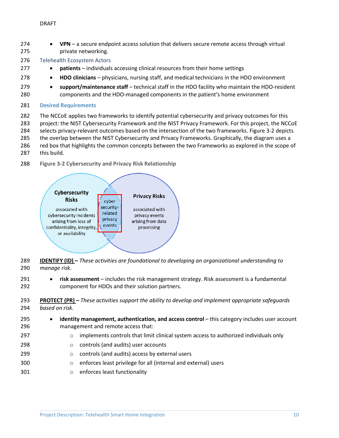- **VPN** a secure endpoint access solution that delivers secure remote access through virtual private networking.
- <span id="page-10-0"></span>Telehealth Ecosystem Actors
- **patients** individuals accessing clinical resources from their home settings
- **HDO clinicians** physicians, nursing staff, and medical technicians in the HDO environment
- **support/maintenance staff** technical staff in the HDO facility who maintain the HDO-resident components and the HDO-managed components in the patient's home environment
- <span id="page-10-1"></span>**Desired Requirements**
- The NCCoE applies two frameworks to identify potential cybersecurity and privacy outcomes for this
- project: the NIST Cybersecurity Framework and the NIST Privacy Framework. For this project, the NCCoE
- selects privacy-relevant outcomes based on the intersection of the two frameworks. [Figure 3-2](#page-10-2) depicts
- the overlap between the NIST Cybersecurity and Privacy Frameworks. Graphically, the diagram uses a
- 286 red box that highlights the common concepts between the two Frameworks as explored in the scope of
- this build.
- **Figure 3-2 Cybersecurity and Privacy Risk Relationship**

<span id="page-10-2"></span>

- **IDENTIFY (ID) –** *These activities are foundational to developing an organizational understanding to manage risk.*
- **risk assessment** includes the risk management strategy. Risk assessment is a fundamental component for HDOs and their solution partners.
- **PROTECT (PR) –** *These activities support the ability to develop and implement appropriate safeguards based on risk.*
- **identity management, authentication, and access control** this category includes user account management and remote access that:
- **candigary implements controls that limit clinical system access to authorized individuals only**
- **controls (and audits)** user accounts
- **controls (and audits) access by external users**
- o enforces least privilege for all (internal and external) users
- o enforces least functionality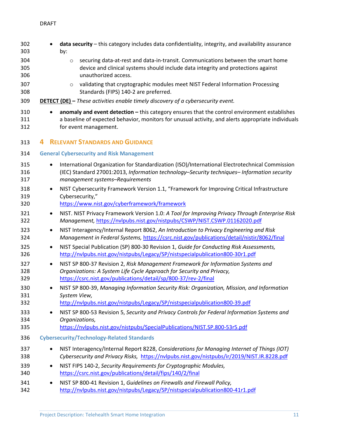<span id="page-11-2"></span><span id="page-11-1"></span><span id="page-11-0"></span>

| 302<br>303        |           | data security - this category includes data confidentiality, integrity, and availability assurance<br>by:                                                                                                                        |
|-------------------|-----------|----------------------------------------------------------------------------------------------------------------------------------------------------------------------------------------------------------------------------------|
| 304<br>305<br>306 |           | securing data-at-rest and data-in-transit. Communications between the smart home<br>$\circ$<br>device and clinical systems should include data integrity and protections against<br>unauthorized access.                         |
| 307<br>308        |           | validating that cryptographic modules meet NIST Federal Information Processing<br>$\circ$<br>Standards (FIPS) 140-2 are preferred.                                                                                               |
| 309               |           | <b>DETECT (DE)</b> - These activities enable timely discovery of a cybersecurity event.                                                                                                                                          |
| 310<br>311<br>312 | $\bullet$ | anomaly and event detection - this category ensures that the control environment establishes<br>a baseline of expected behavior, monitors for unusual activity, and alerts appropriate individuals<br>for event management.      |
| 313               |           | <b>RELEVANT STANDARDS AND GUIDANCE</b>                                                                                                                                                                                           |
| 314               |           | <b>General Cybersecurity and Risk Management</b>                                                                                                                                                                                 |
| 315<br>316<br>317 | $\bullet$ | International Organization for Standardization (ISO)/International Electrotechnical Commission<br>(IEC) Standard 27001:2013, Information technology-Security techniques- Information security<br>management systems-Requirements |
| 318<br>319<br>320 | $\bullet$ | NIST Cybersecurity Framework Version 1.1, "Framework for Improving Critical Infrastructure<br>Cybersecurity,"<br>https://www.nist.gov/cyberframework/framework                                                                   |
| 321<br>322        | $\bullet$ | NIST. NIST Privacy Framework Version 1.0: A Tool for Improving Privacy Through Enterprise Risk<br>Management, https://nvlpubs.nist.gov/nistpubs/CSWP/NIST.CSWP.01162020.pdf                                                      |
| 323<br>324        | $\bullet$ | NIST Interagency/Internal Report 8062, An Introduction to Privacy Engineering and Risk<br>Management in Federal Systems, https://csrc.nist.gov/publications/detail/nistir/8062/final                                             |
| 325<br>326        | $\bullet$ | NIST Special Publication (SP) 800-30 Revision 1, Guide for Conducting Risk Assessments,<br>http://nvlpubs.nist.gov/nistpubs/Legacy/SP/nistspecialpublication800-30r1.pdf                                                         |
| 327<br>328<br>329 | $\bullet$ | NIST SP 800-37 Revision 2, Risk Management Framework for Information Systems and<br>Organizations: A System Life Cycle Approach for Security and Privacy,<br>https://csrc.nist.gov/publications/detail/sp/800-37/rev-2/final     |
| 330<br>331        |           | NIST SP 800-39, Managing Information Security Risk: Organization, Mission, and Information<br>System View,                                                                                                                       |
| 332<br>333<br>334 | $\bullet$ | http://nvlpubs.nist.gov/nistpubs/Legacy/SP/nistspecialpublication800-39.pdf<br>NIST SP 800-53 Revision 5, Security and Privacy Controls for Federal Information Systems and<br>Organizations,                                    |
| 335               |           | https://nvlpubs.nist.gov/nistpubs/SpecialPublications/NIST.SP.800-53r5.pdf                                                                                                                                                       |
| 336               |           | <b>Cybersecurity/Technology-Related Standards</b>                                                                                                                                                                                |
| 337<br>338        | $\bullet$ | NIST Interagency/Internal Report 8228, Considerations for Managing Internet of Things (IOT)<br>Cybersecurity and Privacy Risks, https://nvlpubs.nist.gov/nistpubs/ir/2019/NIST.IR.8228.pdf                                       |
| 339<br>340        | $\bullet$ | NIST FIPS 140-2, Security Requirements for Cryptographic Modules,<br>https://csrc.nist.gov/publications/detail/fips/140/2/final                                                                                                  |
| 341<br>342        | $\bullet$ | NIST SP 800-41 Revision 1, Guidelines on Firewalls and Firewall Policy,<br>http://nvlpubs.nist.gov/nistpubs/Legacy/SP/nistspecialpublication800-41r1.pdf                                                                         |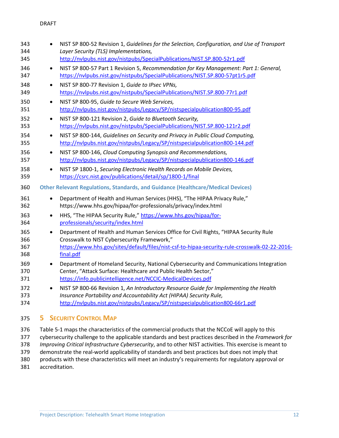| 343<br>344               |           | NIST SP 800-52 Revision 1, Guidelines for the Selection, Configuration, and Use of Transport<br>Layer Security (TLS) Implementations,                                                                                                              |
|--------------------------|-----------|----------------------------------------------------------------------------------------------------------------------------------------------------------------------------------------------------------------------------------------------------|
| 345                      |           | http://nvlpubs.nist.gov/nistpubs/SpecialPublications/NIST.SP.800-52r1.pdf                                                                                                                                                                          |
| 346<br>347               | $\bullet$ | NIST SP 800-57 Part 1 Revision 5, Recommendation for Key Management: Part 1: General,<br>https://nvlpubs.nist.gov/nistpubs/SpecialPublications/NIST.SP.800-57pt1r5.pdf                                                                             |
| 348<br>349               | $\bullet$ | NIST SP 800-77 Revision 1, Guide to IPsec VPNs,<br>https://nvlpubs.nist.gov/nistpubs/SpecialPublications/NIST.SP.800-77r1.pdf                                                                                                                      |
| 350<br>351               | $\bullet$ | NIST SP 800-95, Guide to Secure Web Services,<br>http://nvlpubs.nist.gov/nistpubs/Legacy/SP/nistspecialpublication800-95.pdf                                                                                                                       |
| 352<br>353               | $\bullet$ | NIST SP 800-121 Revision 2, Guide to Bluetooth Security,<br>https://nvlpubs.nist.gov/nistpubs/SpecialPublications/NIST.SP.800-121r2.pdf                                                                                                            |
| 354<br>355               | $\bullet$ | NIST SP 800-144, Guidelines on Security and Privacy in Public Cloud Computing,<br>http://nvlpubs.nist.gov/nistpubs/Legacy/SP/nistspecialpublication800-144.pdf                                                                                     |
| 356<br>357               | $\bullet$ | NIST SP 800-146, Cloud Computing Synopsis and Recommendations,<br>http://nvlpubs.nist.gov/nistpubs/Legacy/SP/nistspecialpublication800-146.pdf                                                                                                     |
| 358<br>359               | $\bullet$ | NIST SP 1800-1, Securing Electronic Health Records on Mobile Devices,<br>https://csrc.nist.gov/publications/detail/sp/1800-1/final                                                                                                                 |
| 360                      |           | <b>Other Relevant Regulations, Standards, and Guidance (Healthcare/Medical Devices)</b>                                                                                                                                                            |
| 361<br>362               | $\bullet$ | Department of Health and Human Services (HHS), "The HIPAA Privacy Rule,"<br>https://www.hhs.gov/hipaa/for-professionals/privacy/index.html                                                                                                         |
| 363<br>364               | $\bullet$ | HHS, "The HIPAA Security Rule," https://www.hhs.gov/hipaa/for-<br>professionals/security/index.html                                                                                                                                                |
| 365<br>366<br>367<br>368 | $\bullet$ | Department of Health and Human Services Office for Civil Rights, "HIPAA Security Rule<br>Crosswalk to NIST Cybersecurity Framework,"<br>https://www.hhs.gov/sites/default/files/nist-csf-to-hipaa-security-rule-crosswalk-02-22-2016-<br>final.pdf |
| 369<br>370<br>371        | $\bullet$ | Department of Homeland Security, National Cybersecurity and Communications Integration<br>Center, "Attack Surface: Healthcare and Public Health Sector,"<br>https://info.publicintelligence.net/NCCIC-MedicalDevices.pdf                           |
| 372<br>373<br>374        | $\bullet$ | NIST SP 800-66 Revision 1, An Introductory Resource Guide for Implementing the Health<br>Insurance Portability and Accountability Act (HIPAA) Security Rule,<br>http://nvlpubs.nist.gov/nistpubs/Legacy/SP/nistspecialpublication800-66r1.pdf      |

# <span id="page-12-1"></span><span id="page-12-0"></span>**5 SECURITY CONTROL MAP**

 [Table 5-1](#page-13-0) maps the characteristics of the commercial products that the NCCoE will apply to this cybersecurity challenge to the applicable standards and best practices described in the *Framework for Improving Critical Infrastructure Cybersecurity*, and to other NIST activities. This exercise is meant to demonstrate the real-world applicability of standards and best practices but does not imply that products with these characteristics will meet an industry's requirements for regulatory approval or accreditation.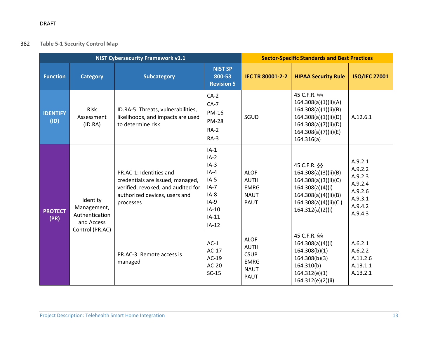# 382 **Table 5-1 Security Control Map**

<span id="page-13-0"></span>

|                         |                                                         | <b>NIST Cybersecurity Framework v1.1</b>                                                                                                        | <b>Sector-Specific Standards and Best Practices</b>                                                           |                                                                                        |                                                                                                                                                      |                                                                                      |
|-------------------------|---------------------------------------------------------|-------------------------------------------------------------------------------------------------------------------------------------------------|---------------------------------------------------------------------------------------------------------------|----------------------------------------------------------------------------------------|------------------------------------------------------------------------------------------------------------------------------------------------------|--------------------------------------------------------------------------------------|
| <b>Function</b>         | <b>Category</b>                                         | <b>Subcategory</b>                                                                                                                              | <b>NIST SP</b><br>800-53<br><b>Revision 5</b>                                                                 | <b>IEC TR 80001-2-2</b>                                                                | <b>HIPAA Security Rule</b>                                                                                                                           | <b>ISO/IEC 27001</b>                                                                 |
| <b>IDENTIFY</b><br>(1D) | Risk<br>Assessment<br>(ID.RA)                           | ID.RA-5: Threats, vulnerabilities,<br>likelihoods, and impacts are used<br>to determine risk                                                    | $CA-2$<br>$CA-7$<br><b>PM-16</b><br><b>PM-28</b><br>$RA-2$<br>$RA-3$                                          | SGUD                                                                                   | 45 C.F.R. §§<br>164.308(a)(1)(ii)(A)<br>164.308(a)(1)(ii)(B)<br>164.308(a)(1)(ii)(D)<br>164.308(a)(7)(ii)(D)<br>164.308(a)(7)(ii)(E)<br>164.316(a)   | A.12.6.1                                                                             |
| <b>PROTECT</b><br>(PR)  | Identity<br>Management,<br>Authentication<br>and Access | PR.AC-1: Identities and<br>credentials are issued, managed,<br>verified, revoked, and audited for<br>authorized devices, users and<br>processes | $IA-1$<br>$IA-2$<br>$IA-3$<br>$IA-4$<br>$IA-5$<br>$IA-7$<br>$IA-8$<br>$IA-9$<br>$IA-10$<br>$IA-11$<br>$IA-12$ | <b>ALOF</b><br><b>AUTH</b><br><b>EMRG</b><br><b>NAUT</b><br><b>PAUT</b>                | 45 C.F.R. §§<br>164.308(a)(3)(ii)(B)<br>164.308(a)(3)(ii)(C)<br>164.308(a)(4)(i)<br>164.308(a)(4)(ii)(B)<br>164.308(a)(4)(ii)(C)<br>164.312(a)(2)(i) | A.9.2.1<br>A.9.2.2<br>A.9.2.3<br>A.9.2.4<br>A.9.2.6<br>A.9.3.1<br>A.9.4.2<br>A.9.4.3 |
|                         | Control (PR.AC)                                         | PR.AC-3: Remote access is<br>managed                                                                                                            | $AC-1$<br>$AC-17$<br>$AC-19$<br>$AC-20$<br>$SC-15$                                                            | <b>ALOF</b><br><b>AUTH</b><br><b>CSUP</b><br><b>EMRG</b><br><b>NAUT</b><br><b>PAUT</b> | 45 C.F.R. §§<br>164.308(a)(4)(i)<br>164.308(b)(1)<br>164.308(b)(3)<br>164.310(b)<br>164.312(e)(1)<br>164.312(e)(2)(ii)                               | A.6.2.1<br>A.6.2.2<br>A.11.2.6<br>A.13.1.1<br>A.13.2.1                               |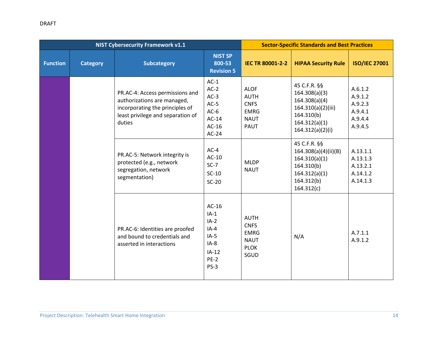|                 |                 | <b>NIST Cybersecurity Framework v1.1</b>                                                                                                         |                                                                                          | <b>Sector-Specific Standards and Best Practices</b>                                    |                                                                                                                         |                                                                |
|-----------------|-----------------|--------------------------------------------------------------------------------------------------------------------------------------------------|------------------------------------------------------------------------------------------|----------------------------------------------------------------------------------------|-------------------------------------------------------------------------------------------------------------------------|----------------------------------------------------------------|
| <b>Function</b> | <b>Category</b> | <b>Subcategory</b>                                                                                                                               | <b>NIST SP</b><br>800-53<br><b>Revision 5</b>                                            | <b>IEC TR 80001-2-2</b>                                                                | <b>HIPAA Security Rule</b>                                                                                              | <b>ISO/IEC 27001</b>                                           |
|                 |                 | PR.AC-4: Access permissions and<br>authorizations are managed,<br>incorporating the principles of<br>least privilege and separation of<br>duties | $AC-1$<br>$AC-2$<br>$AC-3$<br>$AC-5$<br>$AC-6$<br>$AC-14$<br>$AC-16$<br>$AC-24$          | <b>ALOF</b><br><b>AUTH</b><br><b>CNFS</b><br><b>EMRG</b><br><b>NAUT</b><br><b>PAUT</b> | 45 C.F.R. §§<br>164.308(a)(3)<br>164.308(a)(4)<br>164.310(a)(2)(iii)<br>164.310(b)<br>164.312(a)(1)<br>164.312(a)(2)(i) | A.6.1.2<br>A.9.1.2<br>A.9.2.3<br>A.9.4.1<br>A.9.4.4<br>A.9.4.5 |
|                 |                 | PR.AC-5: Network integrity is<br>protected (e.g., network<br>segregation, network<br>segmentation)                                               | $AC-4$<br>$AC-10$<br>$SC-7$<br>$SC-10$<br>$SC-20$                                        | <b>MLDP</b><br><b>NAUT</b>                                                             | 45 C.F.R. §§<br>164.308(a)(4)(ii)(B)<br>164.310(a)(1)<br>164.310(b)<br>164.312(a)(1)<br>164.312(b)<br>164.312(c)        | A.13.1.1<br>A.13.1.3<br>A.13.2.1<br>A.14.1.2<br>A.14.1.3       |
|                 |                 | PR.AC-6: Identities are proofed<br>and bound to credentials and<br>asserted in interactions                                                      | $AC-16$<br>$IA-1$<br>$IA-2$<br>$IA-4$<br>$IA-5$<br>$IA-8$<br>$IA-12$<br>$PE-2$<br>$PS-3$ | <b>AUTH</b><br><b>CNFS</b><br><b>EMRG</b><br><b>NAUT</b><br><b>PLOK</b><br>SGUD        | N/A                                                                                                                     | A.7.1.1<br>A.9.1.2                                             |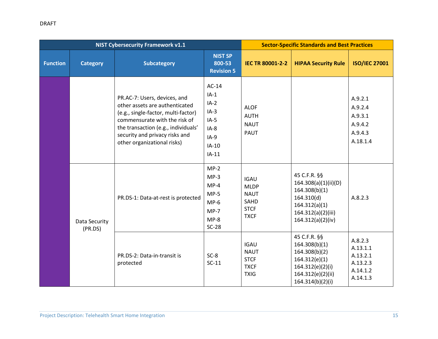| <b>NIST Cybersecurity Framework v1.1</b> |                          |                                                                                                                                                                                                                                                |                                                                                           |                                                                                 | <b>Sector-Specific Standards and Best Practices</b>                                                                             |                                                                     |
|------------------------------------------|--------------------------|------------------------------------------------------------------------------------------------------------------------------------------------------------------------------------------------------------------------------------------------|-------------------------------------------------------------------------------------------|---------------------------------------------------------------------------------|---------------------------------------------------------------------------------------------------------------------------------|---------------------------------------------------------------------|
| <b>Function</b>                          | <b>Category</b>          | <b>Subcategory</b>                                                                                                                                                                                                                             | <b>NIST SP</b><br>800-53<br><b>Revision 5</b>                                             | <b>IEC TR 80001-2-2</b>                                                         | <b>HIPAA Security Rule</b>                                                                                                      | <b>ISO/IEC 27001</b>                                                |
|                                          |                          | PR.AC-7: Users, devices, and<br>other assets are authenticated<br>(e.g., single-factor, multi-factor)<br>commensurate with the risk of<br>the transaction (e.g., individuals'<br>security and privacy risks and<br>other organizational risks) | $AC-14$<br>$IA-1$<br>$IA-2$<br>$IA-3$<br>$IA-5$<br>$IA-8$<br>$IA-9$<br>$IA-10$<br>$IA-11$ | <b>ALOF</b><br><b>AUTH</b><br><b>NAUT</b><br>PAUT                               |                                                                                                                                 | A.9.2.1<br>A.9.2.4<br>A.9.3.1<br>A.9.4.2<br>A.9.4.3<br>A.18.1.4     |
|                                          | Data Security<br>(PR.DS) | PR.DS-1: Data-at-rest is protected                                                                                                                                                                                                             | $MP-2$<br>$MP-3$<br>$MP-4$<br>$MP-5$<br>$MP-6$<br>$MP-7$<br>$MP-8$<br>$SC-28$             | <b>IGAU</b><br><b>MLDP</b><br><b>NAUT</b><br>SAHD<br><b>STCF</b><br><b>TXCF</b> | 45 C.F.R. §§<br>164.308(a)(1)(ii)(D)<br>164.308(b)(1)<br>164.310(d)<br>164.312(a)(1)<br>164.312(a)(2)(iii)<br>164.312(a)(2)(iv) | A.8.2.3                                                             |
|                                          |                          | PR.DS-2: Data-in-transit is<br>protected                                                                                                                                                                                                       | $SC-8$<br>$SC-11$                                                                         | <b>IGAU</b><br><b>NAUT</b><br><b>STCF</b><br><b>TXCF</b><br><b>TXIG</b>         | 45 C.F.R. §§<br>164.308(b)(1)<br>164.308(b)(2)<br>164.312(e)(1)<br>164.312(e)(2)(i)<br>164.312(e)(2)(ii)<br>164.314(b)(2)(i)    | A.8.2.3<br>A.13.1.1<br>A.13.2.1<br>A.13.2.3<br>A.14.1.2<br>A.14.1.3 |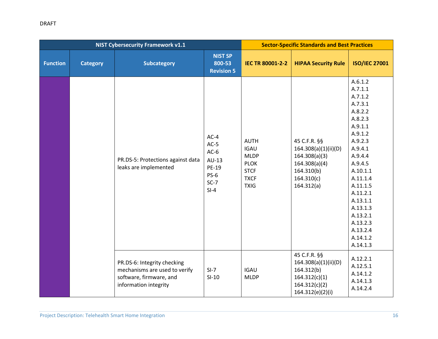|                 |                 | <b>NIST Cybersecurity Framework v1.1</b>                                                                         |                                                                              | <b>Sector-Specific Standards and Best Practices</b>                                                   |                                                                                                                  |                                                                                                                                                                                                                                                                      |
|-----------------|-----------------|------------------------------------------------------------------------------------------------------------------|------------------------------------------------------------------------------|-------------------------------------------------------------------------------------------------------|------------------------------------------------------------------------------------------------------------------|----------------------------------------------------------------------------------------------------------------------------------------------------------------------------------------------------------------------------------------------------------------------|
| <b>Function</b> | <b>Category</b> | <b>Subcategory</b>                                                                                               | <b>NIST SP</b><br>800-53<br><b>Revision 5</b>                                | <b>IEC TR 80001-2-2</b>                                                                               | <b>HIPAA Security Rule</b>                                                                                       | <b>ISO/IEC 27001</b>                                                                                                                                                                                                                                                 |
|                 |                 | PR.DS-5: Protections against data<br>leaks are implemented                                                       | $AC-4$<br>$AC-5$<br>$AC-6$<br>$AU-13$<br>PE-19<br>$PS-6$<br>$SC-7$<br>$SI-4$ | <b>AUTH</b><br><b>IGAU</b><br><b>MLDP</b><br><b>PLOK</b><br><b>STCF</b><br><b>TXCF</b><br><b>TXIG</b> | 45 C.F.R. §§<br>164.308(a)(1)(ii)(D)<br>164.308(a)(3)<br>164.308(a)(4)<br>164.310(b)<br>164.310(c)<br>164.312(a) | A.6.1.2<br>A.7.1.1<br>A.7.1.2<br>A.7.3.1<br>A.8.2.2<br>A.8.2.3<br>A.9.1.1<br>A.9.1.2<br>A.9.2.3<br>A.9.4.1<br>A.9.4.4<br>A.9.4.5<br>A.10.1.1<br>A.11.1.4<br>A.11.1.5<br>A.11.2.1<br>A.13.1.1<br>A.13.1.3<br>A.13.2.1<br>A.13.2.3<br>A.13.2.4<br>A.14.1.2<br>A.14.1.3 |
|                 |                 | PR.DS-6: Integrity checking<br>mechanisms are used to verify<br>software, firmware, and<br>information integrity | $SI-7$<br>$SI-10$                                                            | <b>IGAU</b><br><b>MLDP</b>                                                                            | 45 C.F.R. §§<br>164.308(a)(1)(ii)(D)<br>164.312(b)<br>164.312(c)(1)<br>164.312(c)(2)<br>164.312(e)(2)(i)         | A.12.2.1<br>A.12.5.1<br>A.14.1.2<br>A.14.1.3<br>A.14.2.4                                                                                                                                                                                                             |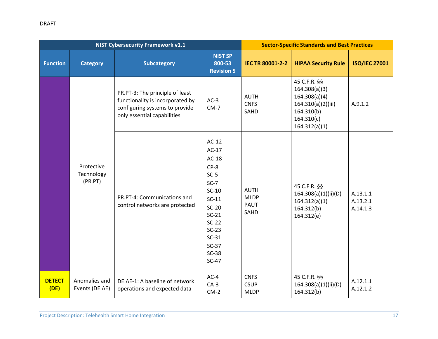|                       |                                     | <b>NIST Cybersecurity Framework v1.1</b>                                                                                             |                                                                                                                                                                           | <b>Sector-Specific Standards and Best Practices</b> |                                                                                                                   |                                  |
|-----------------------|-------------------------------------|--------------------------------------------------------------------------------------------------------------------------------------|---------------------------------------------------------------------------------------------------------------------------------------------------------------------------|-----------------------------------------------------|-------------------------------------------------------------------------------------------------------------------|----------------------------------|
| <b>Function</b>       | <b>Category</b>                     | <b>Subcategory</b>                                                                                                                   | <b>NIST SP</b><br>800-53<br><b>Revision 5</b>                                                                                                                             | <b>IEC TR 80001-2-2</b>                             | <b>HIPAA Security Rule</b>                                                                                        | <b>ISO/IEC 27001</b>             |
|                       |                                     | PR.PT-3: The principle of least<br>functionality is incorporated by<br>configuring systems to provide<br>only essential capabilities | $AC-3$<br>$CM-7$                                                                                                                                                          | <b>AUTH</b><br><b>CNFS</b><br>SAHD                  | 45 C.F.R. §§<br>164.308(a)(3)<br>164.308(a)(4)<br>164.310(a)(2)(iii)<br>164.310(b)<br>164.310(c)<br>164.312(a)(1) | A.9.1.2                          |
|                       | Protective<br>Technology<br>(PR.PT) | PR.PT-4: Communications and<br>control networks are protected                                                                        | $AC-12$<br>$AC-17$<br>$AC-18$<br>$CP-8$<br>$SC-5$<br>$SC-7$<br>$SC-10$<br>$SC-11$<br>$SC-20$<br>$SC-21$<br>$SC-22$<br>$SC-23$<br>$SC-31$<br>$SC-37$<br>$SC-38$<br>$SC-47$ | <b>AUTH</b><br><b>MLDP</b><br><b>PAUT</b><br>SAHD   | 45 C.F.R. §§<br>164.308(a)(1)(ii)(D)<br>164.312(a)(1)<br>164.312(b)<br>164.312(e)                                 | A.13.1.1<br>A.13.2.1<br>A.14.1.3 |
| <b>DETECT</b><br>(DE) | Anomalies and<br>Events (DE.AE)     | DE.AE-1: A baseline of network<br>operations and expected data                                                                       | $AC-4$<br>$CA-3$<br>$CM-2$                                                                                                                                                | <b>CNFS</b><br><b>CSUP</b><br><b>MLDP</b>           | 45 C.F.R. §§<br>164.308(a)(1)(ii)(D)<br>164.312(b)                                                                | A.12.1.1<br>A.12.1.2             |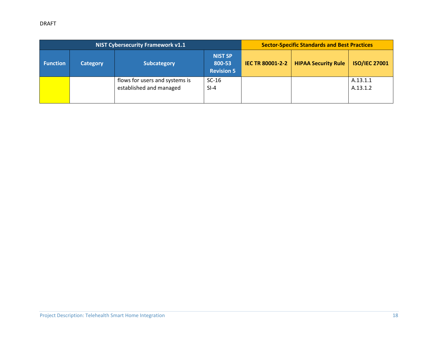# DRAFT

| <b>NIST Cybersecurity Framework v1.1</b> |                 |                                                           |                                               |                         | <b>Sector-Specific Standards and Best Practices</b> |                      |
|------------------------------------------|-----------------|-----------------------------------------------------------|-----------------------------------------------|-------------------------|-----------------------------------------------------|----------------------|
| <b>Function</b>                          | <b>Category</b> | <b>Subcategory</b>                                        | <b>NIST SP</b><br>800-53<br><b>Revision 5</b> | <b>IEC TR 80001-2-2</b> | <b>HIPAA Security Rule</b>                          | <b>ISO/IEC 27001</b> |
|                                          |                 | flows for users and systems is<br>established and managed | $SC-16$<br>$SI-4$                             |                         |                                                     | A.13.1.1<br>A.13.1.2 |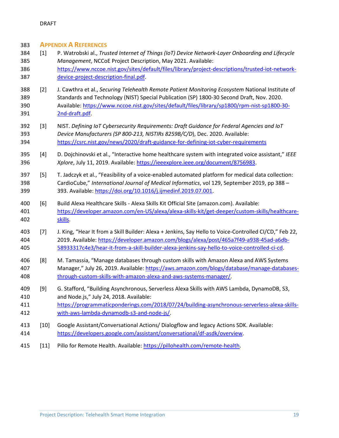### <span id="page-19-0"></span>**APPENDIX A REFERENCES**

- <span id="page-19-1"></span> [1] P. Watrobski al., *Trusted Internet of Things (IoT) Device Network-Layer Onboarding and Lifecycle Management*, NCCoE Project Description, May 2021. Available: [https://www.nccoe.nist.gov/sites/default/files/library/project-descriptions/trusted-iot-network-](https://www.nccoe.nist.gov/sites/default/files/library/project-descriptions/trusted-iot-network-device-project-description-final.pdf)[device-project-description-final.pdf.](https://www.nccoe.nist.gov/sites/default/files/library/project-descriptions/trusted-iot-network-device-project-description-final.pdf)
- <span id="page-19-2"></span> [2] J. Cawthra et al., *Securing Telehealth Remote Patient Monitoring Ecosystem* National Institute of Standards and Technology (NIST) Special Publication (SP) 1800-30 Second Draft, Nov. 2020. Available[: https://www.nccoe.nist.gov/sites/default/files/library/sp1800/rpm-nist-sp1800-30-](https://www.nccoe.nist.gov/sites/default/files/library/sp1800/rpm-nist-sp1800-30-2nd-draft.pdf) [2nd-draft.pdf.](https://www.nccoe.nist.gov/sites/default/files/library/sp1800/rpm-nist-sp1800-30-2nd-draft.pdf)
- <span id="page-19-3"></span> [3] NIST. *Defining IoT Cybersecurity Requirements: Draft Guidance for Federal Agencies and IoT Device Manufacturers (SP 800-213, NISTIRs 8259B/C/D*), Dec. 2020. Available: <https://csrc.nist.gov/news/2020/draft-guidance-for-defining-iot-cyber-requirements>
- <span id="page-19-4"></span> [4] D. Dojchinovski et al., "Interactive home healthcare system with integrated voice assistant," *IEEE Xplore*, July 11, 2019. Available: [https://ieeexplore.ieee.org/document/8756983.](https://ieeexplore.ieee.org/document/8756983)
- <span id="page-19-5"></span> [5] T. Jadczyk et al., "Feasibility of a voice-enabled automated platform for medical data collection: CardioCube," *International Journal of Medical Informatics*, vol 129, September 2019, pp 388 – 393. Available: [https://doi.org/10.1016/j.ijmedinf.2019.07.001.](https://doi.org/10.1016/j.ijmedinf.2019.07.001)
- <span id="page-19-6"></span> [6] Build Alexa Healthcare Skills - Alexa Skills Kit Official Site (amazon.com). Available: [https://developer.amazon.com/en-US/alexa/alexa-skills-kit/get-deeper/custom-skills/healthcare-](https://developer.amazon.com/en-US/alexa/alexa-skills-kit/get-deeper/custom-skills/healthcare-skills)[skills.](https://developer.amazon.com/en-US/alexa/alexa-skills-kit/get-deeper/custom-skills/healthcare-skills)
- <span id="page-19-7"></span> [7] J. King, "Hear It from a Skill Builder: Alexa + Jenkins, Say Hello to Voice-Controlled CI/CD," Feb 22, 2019. Available: [https://developer.amazon.com/blogs/alexa/post/465a7f49-a938-45ad-a6db-](https://developer.amazon.com/blogs/alexa/post/465a7f49-a938-45ad-a6db-58933317c4e3/hear-it-from-a-skill-builder-alexa-jenkins-say-hello-to-voice-controlled-ci-cd)[58933317c4e3/hear-it-from-a-skill-builder-alexa-jenkins-say-hello-to-voice-controlled-ci-cd.](https://developer.amazon.com/blogs/alexa/post/465a7f49-a938-45ad-a6db-58933317c4e3/hear-it-from-a-skill-builder-alexa-jenkins-say-hello-to-voice-controlled-ci-cd)
- <span id="page-19-8"></span> [8] M. Tamassia, "Manage databases through custom skills with Amazon Alexa and AWS Systems Manager," July 26, 2019. Available: [https://aws.amazon.com/blogs/database/manage-databases-](https://aws.amazon.com/blogs/database/manage-databases-through-custom-skills-with-amazon-alexa-and-aws-systems-manager/)[through-custom-skills-with-amazon-alexa-and-aws-systems-manager/.](https://aws.amazon.com/blogs/database/manage-databases-through-custom-skills-with-amazon-alexa-and-aws-systems-manager/)
- <span id="page-19-9"></span> [9] G. Stafford, "Building Asynchronous, Serverless Alexa Skills with AWS Lambda, DynamoDB, S3, and Node.js," July 24, 2018. Available:
- [https://programmaticponderings.com/2018/07/24/building-asynchronous-serverless-alexa-skills-](https://programmaticponderings.com/2018/07/24/building-asynchronous-serverless-alexa-skills-with-aws-lambda-dynamodb-s3-and-node-js/)[with-aws-lambda-dynamodb-s3-and-node-js/.](https://programmaticponderings.com/2018/07/24/building-asynchronous-serverless-alexa-skills-with-aws-lambda-dynamodb-s3-and-node-js/)
- <span id="page-19-10"></span> [10] Google Assistant/Conversational Actions/ Dialogflow and legacy Actions SDK. Available: [https://developers.google.com/assistant/conversational/df-asdk/overview.](https://developers.google.com/assistant/conversational/df-asdk/overview)
- <span id="page-19-11"></span>[11] Pillo for Remote Health. Available: [https://pillohealth.com/remote-health.](https://pillohealth.com/remote-health)